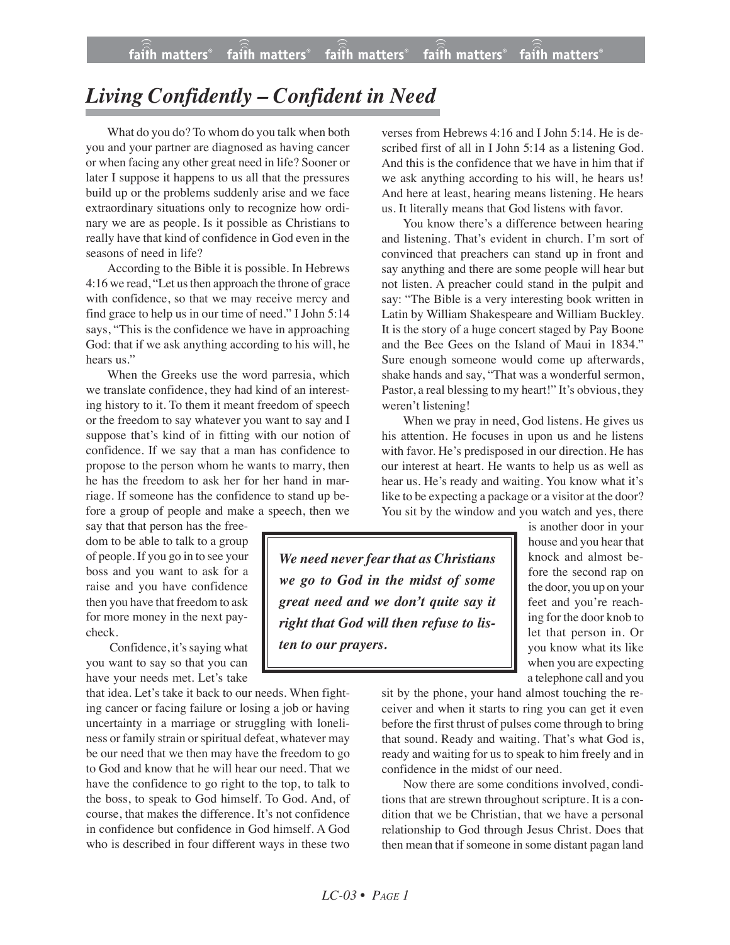## *Living Confidently – Confident in Need*

What do you do? To whom do you talk when both you and your partner are diagnosed as having cancer or when facing any other great need in life? Sooner or later I suppose it happens to us all that the pressures build up or the problems suddenly arise and we face extraordinary situations only to recognize how ordinary we are as people. Is it possible as Christians to really have that kind of confidence in God even in the seasons of need in life?

According to the Bible it is possible. In Hebrews 4:16 we read, "Let us then approach the throne of grace with confidence, so that we may receive mercy and find grace to help us in our time of need." I John 5:14 says, "This is the confidence we have in approaching God: that if we ask anything according to his will, he hears us."

When the Greeks use the word parresia, which we translate confidence, they had kind of an interesting history to it. To them it meant freedom of speech or the freedom to say whatever you want to say and I suppose that's kind of in fitting with our notion of confidence. If we say that a man has confidence to propose to the person whom he wants to marry, then he has the freedom to ask her for her hand in marriage. If someone has the confidence to stand up before a group of people and make a speech, then we

say that that person has the freedom to be able to talk to a group of people. If you go in to see your boss and you want to ask for a raise and you have confidence then you have that freedom to ask for more money in the next paycheck.

Confidence, it's saying what you want to say so that you can have your needs met. Let's take

that idea. Let's take it back to our needs. When fighting cancer or facing failure or losing a job or having uncertainty in a marriage or struggling with loneliness or family strain or spiritual defeat, whatever may be our need that we then may have the freedom to go to God and know that he will hear our need. That we have the confidence to go right to the top, to talk to the boss, to speak to God himself. To God. And, of course, that makes the difference. It's not confidence in confidence but confidence in God himself. A God who is described in four different ways in these two verses from Hebrews 4:16 and I John 5:14. He is described first of all in I John 5:14 as a listening God. And this is the confidence that we have in him that if we ask anything according to his will, he hears us! And here at least, hearing means listening. He hears us. It literally means that God listens with favor.

You know there's a difference between hearing and listening. That's evident in church. I'm sort of convinced that preachers can stand up in front and say anything and there are some people will hear but not listen. A preacher could stand in the pulpit and say: "The Bible is a very interesting book written in Latin by William Shakespeare and William Buckley. It is the story of a huge concert staged by Pay Boone and the Bee Gees on the Island of Maui in 1834." Sure enough someone would come up afterwards, shake hands and say, "That was a wonderful sermon, Pastor, a real blessing to my heart!" It's obvious, they weren't listening!

When we pray in need, God listens. He gives us his attention. He focuses in upon us and he listens with favor. He's predisposed in our direction. He has our interest at heart. He wants to help us as well as hear us. He's ready and waiting. You know what it's like to be expecting a package or a visitor at the door? You sit by the window and you watch and yes, there

*We need never fear that as Christians we go to God in the midst of some great need and we don't quite say it right that God will then refuse to listen to our prayers.*

is another door in your house and you hear that knock and almost before the second rap on the door, you up on your feet and you're reaching for the door knob to let that person in. Or you know what its like when you are expecting a telephone call and you

sit by the phone, your hand almost touching the receiver and when it starts to ring you can get it even before the first thrust of pulses come through to bring that sound. Ready and waiting. That's what God is, ready and waiting for us to speak to him freely and in confidence in the midst of our need.

Now there are some conditions involved, conditions that are strewn throughout scripture. It is a condition that we be Christian, that we have a personal relationship to God through Jesus Christ. Does that then mean that if someone in some distant pagan land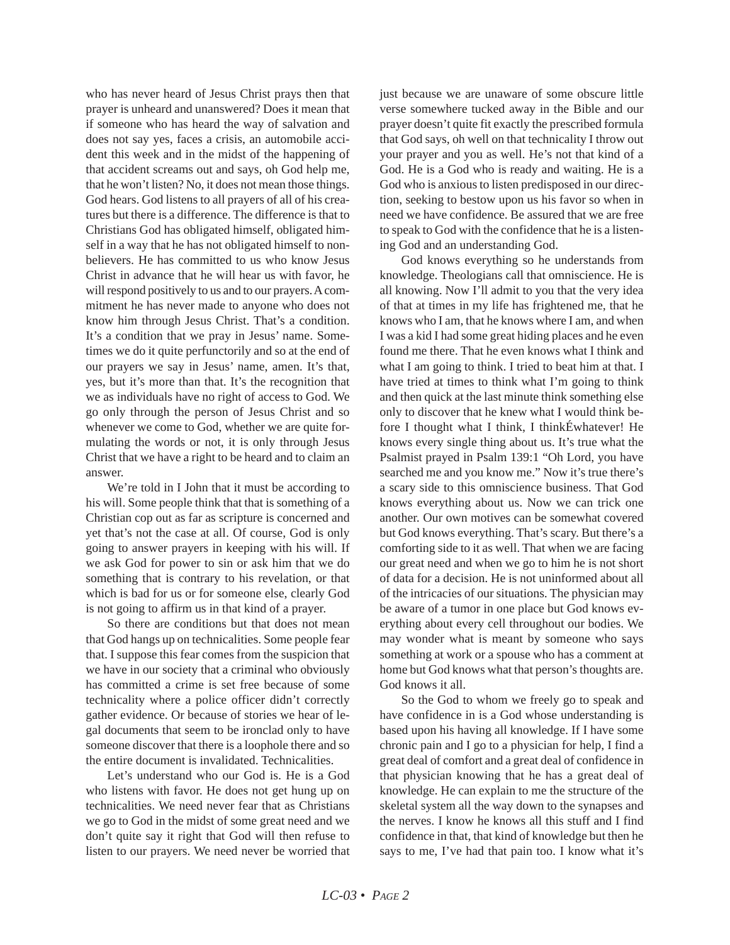who has never heard of Jesus Christ prays then that prayer is unheard and unanswered? Does it mean that if someone who has heard the way of salvation and does not say yes, faces a crisis, an automobile accident this week and in the midst of the happening of that accident screams out and says, oh God help me, that he won't listen? No, it does not mean those things. God hears. God listens to all prayers of all of his creatures but there is a difference. The difference is that to Christians God has obligated himself, obligated himself in a way that he has not obligated himself to nonbelievers. He has committed to us who know Jesus Christ in advance that he will hear us with favor, he will respond positively to us and to our prayers. A commitment he has never made to anyone who does not know him through Jesus Christ. That's a condition. It's a condition that we pray in Jesus' name. Sometimes we do it quite perfunctorily and so at the end of our prayers we say in Jesus' name, amen. It's that, yes, but it's more than that. It's the recognition that we as individuals have no right of access to God. We go only through the person of Jesus Christ and so whenever we come to God, whether we are quite formulating the words or not, it is only through Jesus Christ that we have a right to be heard and to claim an answer.

We're told in I John that it must be according to his will. Some people think that that is something of a Christian cop out as far as scripture is concerned and yet that's not the case at all. Of course, God is only going to answer prayers in keeping with his will. If we ask God for power to sin or ask him that we do something that is contrary to his revelation, or that which is bad for us or for someone else, clearly God is not going to affirm us in that kind of a prayer.

So there are conditions but that does not mean that God hangs up on technicalities. Some people fear that. I suppose this fear comes from the suspicion that we have in our society that a criminal who obviously has committed a crime is set free because of some technicality where a police officer didn't correctly gather evidence. Or because of stories we hear of legal documents that seem to be ironclad only to have someone discover that there is a loophole there and so the entire document is invalidated. Technicalities.

Let's understand who our God is. He is a God who listens with favor. He does not get hung up on technicalities. We need never fear that as Christians we go to God in the midst of some great need and we don't quite say it right that God will then refuse to listen to our prayers. We need never be worried that just because we are unaware of some obscure little verse somewhere tucked away in the Bible and our prayer doesn't quite fit exactly the prescribed formula that God says, oh well on that technicality I throw out your prayer and you as well. He's not that kind of a God. He is a God who is ready and waiting. He is a God who is anxious to listen predisposed in our direction, seeking to bestow upon us his favor so when in need we have confidence. Be assured that we are free to speak to God with the confidence that he is a listening God and an understanding God.

God knows everything so he understands from knowledge. Theologians call that omniscience. He is all knowing. Now I'll admit to you that the very idea of that at times in my life has frightened me, that he knows who I am, that he knows where I am, and when I was a kid I had some great hiding places and he even found me there. That he even knows what I think and what I am going to think. I tried to beat him at that. I have tried at times to think what I'm going to think and then quick at the last minute think something else only to discover that he knew what I would think before I thought what I think, I thinkÉwhatever! He knows every single thing about us. It's true what the Psalmist prayed in Psalm 139:1 "Oh Lord, you have searched me and you know me." Now it's true there's a scary side to this omniscience business. That God knows everything about us. Now we can trick one another. Our own motives can be somewhat covered but God knows everything. That's scary. But there's a comforting side to it as well. That when we are facing our great need and when we go to him he is not short of data for a decision. He is not uninformed about all of the intricacies of our situations. The physician may be aware of a tumor in one place but God knows everything about every cell throughout our bodies. We may wonder what is meant by someone who says something at work or a spouse who has a comment at home but God knows what that person's thoughts are. God knows it all.

So the God to whom we freely go to speak and have confidence in is a God whose understanding is based upon his having all knowledge. If I have some chronic pain and I go to a physician for help, I find a great deal of comfort and a great deal of confidence in that physician knowing that he has a great deal of knowledge. He can explain to me the structure of the skeletal system all the way down to the synapses and the nerves. I know he knows all this stuff and I find confidence in that, that kind of knowledge but then he says to me, I've had that pain too. I know what it's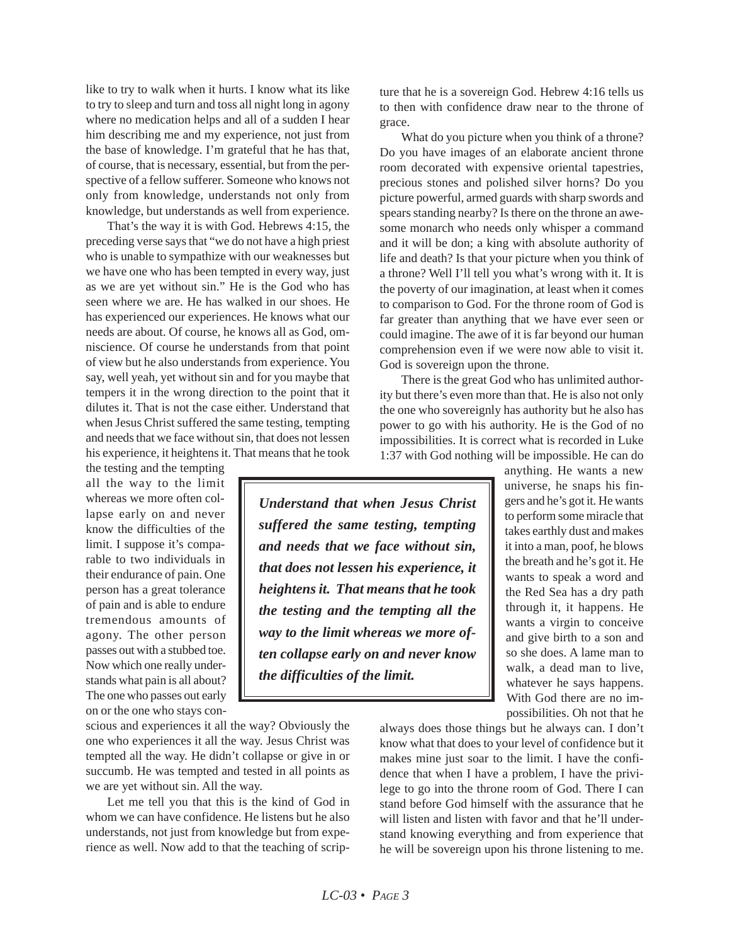like to try to walk when it hurts. I know what its like to try to sleep and turn and toss all night long in agony where no medication helps and all of a sudden I hear him describing me and my experience, not just from the base of knowledge. I'm grateful that he has that, of course, that is necessary, essential, but from the perspective of a fellow sufferer. Someone who knows not only from knowledge, understands not only from knowledge, but understands as well from experience.

That's the way it is with God. Hebrews 4:15, the preceding verse says that "we do not have a high priest who is unable to sympathize with our weaknesses but we have one who has been tempted in every way, just as we are yet without sin." He is the God who has seen where we are. He has walked in our shoes. He has experienced our experiences. He knows what our needs are about. Of course, he knows all as God, omniscience. Of course he understands from that point of view but he also understands from experience. You say, well yeah, yet without sin and for you maybe that tempers it in the wrong direction to the point that it dilutes it. That is not the case either. Understand that when Jesus Christ suffered the same testing, tempting and needs that we face without sin, that does not lessen his experience, it heightens it. That means that he took

the testing and the tempting all the way to the limit whereas we more often collapse early on and never know the difficulties of the limit. I suppose it's comparable to two individuals in their endurance of pain. One person has a great tolerance of pain and is able to endure tremendous amounts of agony. The other person passes out with a stubbed toe. Now which one really understands what pain is all about? The one who passes out early on or the one who stays con-

scious and experiences it all the way? Obviously the one who experiences it all the way. Jesus Christ was tempted all the way. He didn't collapse or give in or succumb. He was tempted and tested in all points as we are yet without sin. All the way.

Let me tell you that this is the kind of God in whom we can have confidence. He listens but he also understands, not just from knowledge but from experience as well. Now add to that the teaching of scripture that he is a sovereign God. Hebrew 4:16 tells us to then with confidence draw near to the throne of grace.

What do you picture when you think of a throne? Do you have images of an elaborate ancient throne room decorated with expensive oriental tapestries, precious stones and polished silver horns? Do you picture powerful, armed guards with sharp swords and spears standing nearby? Is there on the throne an awesome monarch who needs only whisper a command and it will be don; a king with absolute authority of life and death? Is that your picture when you think of a throne? Well I'll tell you what's wrong with it. It is the poverty of our imagination, at least when it comes to comparison to God. For the throne room of God is far greater than anything that we have ever seen or could imagine. The awe of it is far beyond our human comprehension even if we were now able to visit it. God is sovereign upon the throne.

There is the great God who has unlimited authority but there's even more than that. He is also not only the one who sovereignly has authority but he also has power to go with his authority. He is the God of no impossibilities. It is correct what is recorded in Luke 1:37 with God nothing will be impossible. He can do

> anything. He wants a new universe, he snaps his fingers and he's got it. He wants to perform some miracle that takes earthly dust and makes it into a man, poof, he blows the breath and he's got it. He wants to speak a word and the Red Sea has a dry path through it, it happens. He wants a virgin to conceive and give birth to a son and so she does. A lame man to walk, a dead man to live, whatever he says happens. With God there are no impossibilities. Oh not that he

always does those things but he always can. I don't know what that does to your level of confidence but it makes mine just soar to the limit. I have the confidence that when I have a problem, I have the privilege to go into the throne room of God. There I can stand before God himself with the assurance that he will listen and listen with favor and that he'll understand knowing everything and from experience that he will be sovereign upon his throne listening to me.

*Understand that when Jesus Christ suffered the same testing, tempting and needs that we face without sin, that does not lessen his experience, it heightens it. That means that he took the testing and the tempting all the way to the limit whereas we more often collapse early on and never know the difficulties of the limit.*